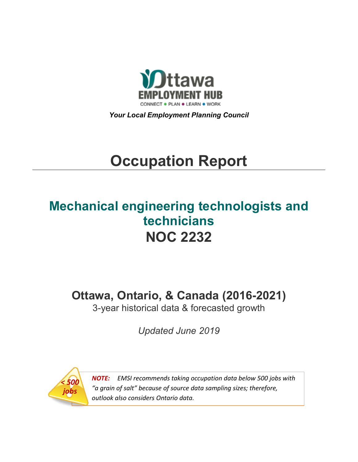

*Your Local Employment Planning Council*

# **Occupation Report**

# **Mechanical engineering technologists and technicians NOC 2232**

**Ottawa, Ontario, & Canada (2016-2021)**

3-year historical data & forecasted growth

*Updated June 2019*



*NOTE: EMSI recommends taking occupation data below 500 jobs with "a grain of salt" because of source data sampling sizes; therefore, outlook also considers Ontario data.*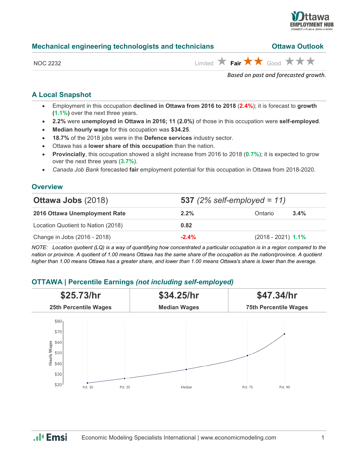

| Mechanical engineering technologists and technicians | <b>Ottawa Outlook</b>                                       |                                      |
|------------------------------------------------------|-------------------------------------------------------------|--------------------------------------|
| NOC 2232                                             | Limited $\star$ Fair $\star \star$ Good $\star \star \star$ |                                      |
|                                                      |                                                             | Based on past and forecasted growth. |

# **A Local Snapshot**

- Employment in this occupation **declined in Ottawa from 2016 to 2018** (**2.4%**); it is forecast to **growth (1.1%)** over the next three years.
- **2.2%** were **unemployed in Ottawa in 2016; 11 (2.0%)** of those in this occupation were **self-employed**.
- **Median hourly wage** for this occupation was **\$34.25**.
- **18.7%** of the 2018 jobs were in the **Defence services** industry sector.
- Ottawa has a **lower share of this occupation** than the nation.
- **Provincially**, this occupation showed a slight increase from 2016 to 2018 (**0.7%**); it is expected to grow over the next three years (**3.7%**).
- *Canada Job Bank* forecasted **fair** employment potential for this occupation in Ottawa from 2018-2020.

# **Overview**

| <b>Ottawa Jobs (2018)</b>          | <b>537</b> (2% self-employed = 11) |                      |         |
|------------------------------------|------------------------------------|----------------------|---------|
| 2016 Ottawa Unemployment Rate      | $2.2\%$                            | Ontario              | $3.4\%$ |
| Location Quotient to Nation (2018) | 0.82                               |                      |         |
| Change in Jobs (2016 - 2018)       | $-2.4%$                            | $(2018 - 2021)$ 1.1% |         |

*NOTE: Location quotient (LQ) is a way of quantifying how concentrated a particular occupation is in a region compared to the nation or province. A quotient of 1.00 means Ottawa has the same share of the occupation as the nation/province. A quotient higher than 1.00 means Ottawa has a greater share, and lower than 1.00 means Ottawa's share is lower than the average.*

# **OTTAWA | Percentile Earnings** *(not including self-employed)*

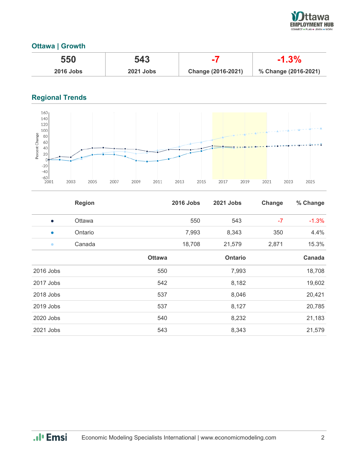

# **Ottawa | Growth**

| 550              | 543              |                    | $-1.3\%$             |
|------------------|------------------|--------------------|----------------------|
| <b>2016 Jobs</b> | <b>2021 Jobs</b> | Change (2016-2021) | % Change (2016-2021) |

# **Regional Trends**



|           | <b>Region</b> |               | <b>2016 Jobs</b> | 2021 Jobs      | Change | % Change |
|-----------|---------------|---------------|------------------|----------------|--------|----------|
| $\bullet$ | <b>Ottawa</b> |               | 550              | 543            | $-7$   | $-1.3%$  |
| $\bullet$ | Ontario       |               | 7,993            | 8,343          | 350    | 4.4%     |
| $\bullet$ | Canada        |               | 18,708           | 21,579         | 2,871  | 15.3%    |
|           |               | <b>Ottawa</b> |                  | <b>Ontario</b> |        | Canada   |
| 2016 Jobs |               | 550           |                  | 7,993          |        | 18,708   |
| 2017 Jobs |               | 542           |                  | 8,182          |        | 19,602   |
| 2018 Jobs |               | 537           |                  | 8,046          |        | 20,421   |
| 2019 Jobs |               | 537           |                  | 8,127          |        | 20,785   |
| 2020 Jobs |               | 540           |                  | 8,232          |        | 21,183   |
| 2021 Jobs |               | 543           |                  | 8,343          |        | 21,579   |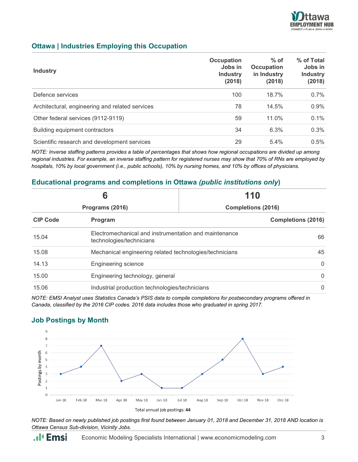

# **Ottawa | Industries Employing this Occupation**

| <b>Industry</b>                                 | Occupation<br>Jobs in<br><b>Industry</b><br>(2018) | $%$ of<br><b>Occupation</b><br>in Industry<br>(2018) | % of Total<br>Jobs in<br><b>Industry</b><br>(2018) |
|-------------------------------------------------|----------------------------------------------------|------------------------------------------------------|----------------------------------------------------|
| Defence services                                | 100                                                | 18.7%                                                | 0.7%                                               |
| Architectural, engineering and related services | 78                                                 | 14.5%                                                | 0.9%                                               |
| Other federal services (9112-9119)              | 59                                                 | $11.0\%$                                             | 0.1%                                               |
| Building equipment contractors                  | 34                                                 | 6.3%                                                 | 0.3%                                               |
| Scientific research and development services    | 29                                                 | 5.4%                                                 | 0.5%                                               |

*NOTE: Inverse staffing patterns provides a table of percentages that shows how regional occupations are divided up among regional industries. For example, an inverse staffing pattern for registered nurses may show that 70% of RNs are employed by hospitals, 10% by local government (i.e., public schools), 10% by nursing homes, and 10% by offices of physicians.*

# **Educational programs and completions in Ottawa** *(public institutions only***)**

| 6               |                                                                                   | 110                       |                           |
|-----------------|-----------------------------------------------------------------------------------|---------------------------|---------------------------|
|                 | Programs (2016)                                                                   | <b>Completions (2016)</b> |                           |
| <b>CIP Code</b> | Program                                                                           |                           | <b>Completions (2016)</b> |
| 15.04           | Electromechanical and instrumentation and maintenance<br>technologies/technicians |                           | 66                        |
| 15.08           | Mechanical engineering related technologies/technicians                           |                           | 45                        |
| 14.13           | <b>Engineering science</b>                                                        |                           | $\Omega$                  |
| 15.00           | Engineering technology, general                                                   |                           | $\Omega$                  |
| 15.06           | Industrial production technologies/technicians                                    |                           | $\mathbf{0}$              |

*NOTE: EMSI Analyst uses Statistics Canada's PSIS data to compile completions for postsecondary programs offered in Canada, classified by the 2016 CIP codes. 2016 data includes those who graduated in spring 2017.*

#### $\overline{9}$ 8  $\overline{1}$  $\sqrt{6}$ Postings by month  $\overline{5}$  $\overline{4}$  $\overline{3}$  $\overline{2}$  $\mathbf{1}$  $\overline{0}$ Jan-18 Feb-18 Mar-18 Apr-18 May-18  $Jun-18$  $Jul-18$ Aug-18  $Sep-18$  $Oct-18$  $Nov-18$  $Dec-18$ Total annual job postings: 44

# **Job Postings by Month**

*NOTE: Based on newly published job postings first found between January 01, 2018 and December 31, 2018 AND location is Ottawa Census Sub-division, Vicinity Jobs.*